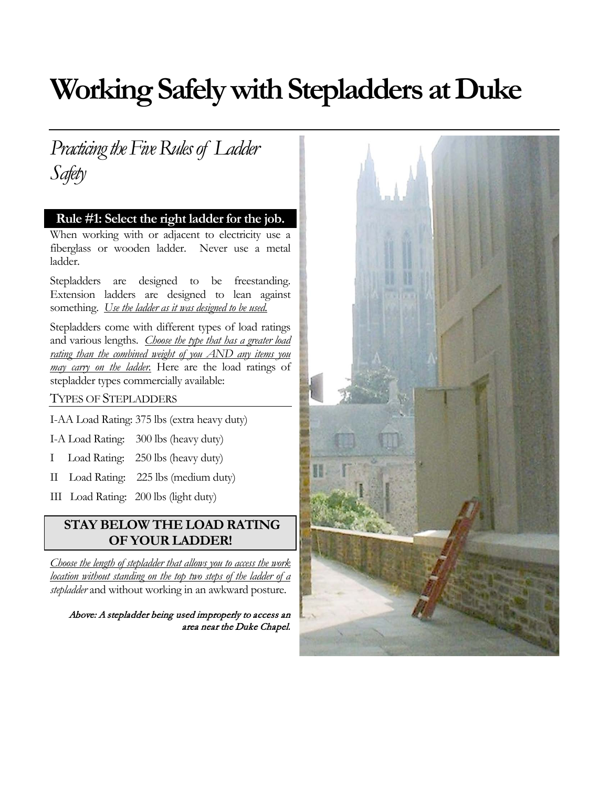# **Working Safely with Stepladders at Duke**

*Practicing the Five Rules of Ladder Safety* 

#### **Rule #1: Select the right ladder for the job.**

When working with or adjacent to electricity use a fiberglass or wooden ladder. Never use a metal ladder.

Stepladders are designed to be freestanding. Extension ladders are designed to lean against something. *Use the ladder as it was designed to be used.*

Stepladders come with different types of load ratings and various lengths. *Choose the type that has a greater load rating than the combined weight of you AND any items you may carry on the ladder.* Here are the load ratings of stepladder types commercially available:

#### TYPES OF STEPLADDERS

I-AA Load Rating: 375 lbs (extra heavy duty)

I-A Load Rating: 300 lbs (heavy duty)

- I Load Rating: 250 lbs (heavy duty)
- II Load Rating: 225 lbs (medium duty)
- III Load Rating: 200 lbs (light duty)

#### **STAY BELOW THE LOAD RATING OF YOUR LADDER!**

*Choose the length of stepladder that allows you to access the work location without standing on the top two steps of the ladder of a stepladder* and without working in an awkward posture.

Above: A stepladder being used improperly to access an area near the Duke Chapel.

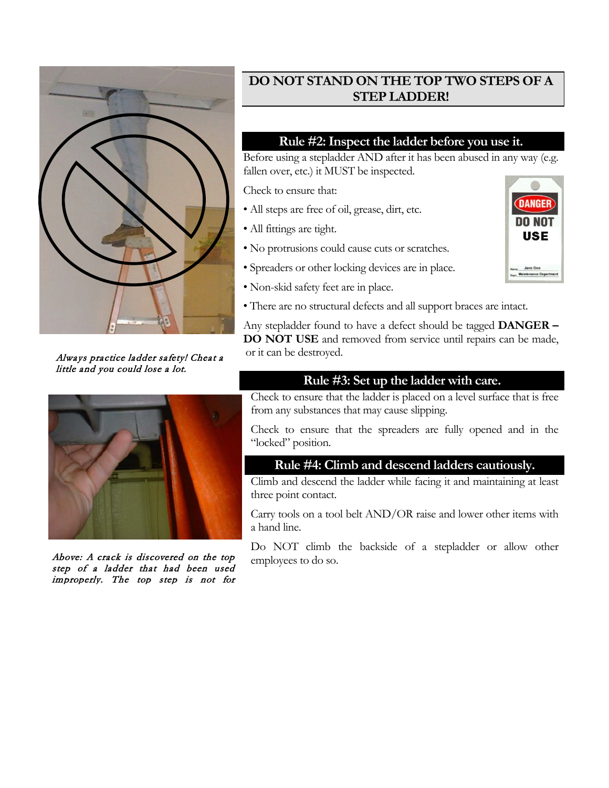

Always practice ladder safety! Cheat a little and you could lose a lot.



Above: A crack is discovered on the top step of a ladder that had been used improperly. The top step is not for

# **DO NOT STAND ON THE TOP TWO STEPS OF A STEP LADDER!**

### **Rule #2: Inspect the ladder before you use it.**

Before using a stepladder AND after it has been abused in any way (e.g. fallen over, etc.) it MUST be inspected.

Check to ensure that:

- All steps are free of oil, grease, dirt, etc.
- All fittings are tight.
- No protrusions could cause cuts or scratches.
- Spreaders or other locking devices are in place.
- Non-skid safety feet are in place.
- There are no structural defects and all support braces are intact.

Any stepladder found to have a defect should be tagged **DANGER – DO NOT USE** and removed from service until repairs can be made, or it can be destroyed.

### **Rule #3: Set up the ladder with care.**

Check to ensure that the ladder is placed on a level surface that is free from any substances that may cause slipping.

Check to ensure that the spreaders are fully opened and in the "locked" position.

#### **Rule #4: Climb and descend ladders cautiously.**

Climb and descend the ladder while facing it and maintaining at least three point contact.

Carry tools on a tool belt AND/OR raise and lower other items with a hand line.

Do NOT climb the backside of a stepladder or allow other employees to do so.